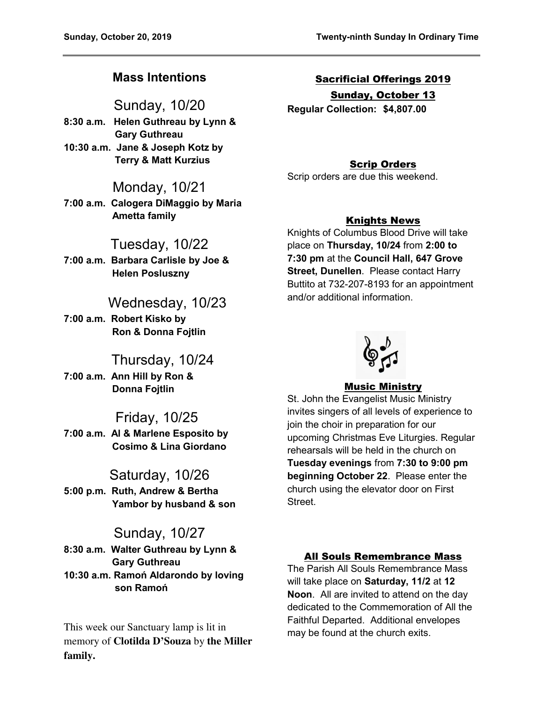# **Mass Intentions**

Sunday, 10/20 **8:30 a.m. Helen Guthreau by Lynn & Gary Guthreau** 

**10:30 a.m. Jane & Joseph Kotz by Terry & Matt Kurzius** 

## Monday, 10/21

**7:00 a.m. Calogera DiMaggio by Maria Ametta family** 

# Tuesday, 10/22

**7:00 a.m. Barbara Carlisle by Joe & Helen Posluszny** 

# Wednesday, 10/23

**7:00 a.m. Robert Kisko by Ron & Donna Fojtlin** 

## Thursday, 10/24

**7:00 a.m. Ann Hill by Ron & Donna Fojtlin** 

# Friday, 10/25

**7:00 a.m. Al & Marlene Esposito by Cosimo & Lina Giordano** 

## Saturday, 10/26

**5:00 p.m. Ruth, Andrew & Bertha Yambor by husband & son** 

# Sunday, 10/27

**8:30 a.m. Walter Guthreau by Lynn & Gary Guthreau 10:30 a.m. Ramoń Aldarondo by loving son Ramoń**

This week our Sanctuary lamp is lit in memory of **Clotilda D'Souza** by **the Miller family.** 

# Sacrificial Offerings 2019 Sunday, October 13

**Regular Collection: \$4,807.00** 

## Scrip Orders

Scrip orders are due this weekend.

#### Knights News

Knights of Columbus Blood Drive will take place on **Thursday, 10/24** from **2:00 to 7:30 pm** at the **Council Hall, 647 Grove Street, Dunellen**. Please contact Harry Buttito at 732-207-8193 for an appointment and/or additional information.



## Music Ministry

St. John the Evangelist Music Ministry invites singers of all levels of experience to join the choir in preparation for our upcoming Christmas Eve Liturgies. Regular rehearsals will be held in the church on **Tuesday evenings** from **7:30 to 9:00 pm beginning October 22**. Please enter the church using the elevator door on First **Street** 

#### All Souls Remembrance Mass

The Parish All Souls Remembrance Mass will take place on **Saturday, 11/2** at **12 Noon**. All are invited to attend on the day dedicated to the Commemoration of All the Faithful Departed. Additional envelopes may be found at the church exits.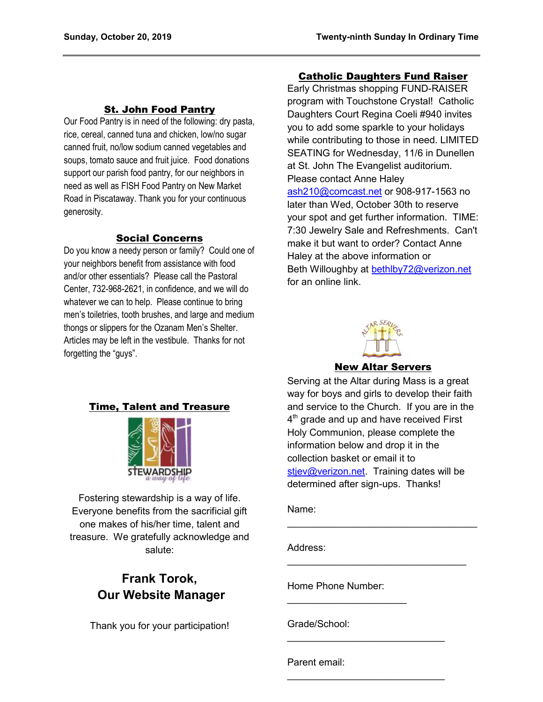### St. John Food Pantry

Our Food Pantry is in need of the following: dry pasta, rice, cereal, canned tuna and chicken, low/no sugar canned fruit, no/low sodium canned vegetables and soups, tomato sauce and fruit juice. Food donations support our parish food pantry, for our neighbors in need as well as FISH Food Pantry on New Market Road in Piscataway. Thank you for your continuous generosity.

#### Social Concerns

Do you know a needy person or family? Could one of your neighbors benefit from assistance with food and/or other essentials? Please call the Pastoral Center, 732-968-2621, in confidence, and we will do whatever we can to help. Please continue to bring men's toiletries, tooth brushes, and large and medium thongs or slippers for the Ozanam Men's Shelter. Articles may be left in the vestibule. Thanks for not forgetting the "guys".

#### Catholic Daughters Fund Raiser

Early Christmas shopping FUND-RAISER program with Touchstone Crystal! Catholic Daughters Court Regina Coeli #940 invites you to add some sparkle to your holidays while contributing to those in need. LIMITED SEATING for Wednesday, 11/6 in Dunellen at St. John The Evangelist auditorium. Please contact Anne Haley [ash210@comcast.net](mailto:ash210@comcast.net) or 908-917-1563 no later than Wed, October 30th to reserve your spot and get further information. TIME: 7:30 Jewelry Sale and Refreshments. Can't make it but want to order? Contact Anne Haley at the above information or Beth Willoughby at [bethlby72@verizon.net](mailto:bethlby72@verizon.net)  for an online link.



New Altar Servers

## Time, Talent and Treasure



Fostering stewardship is a way of life. Everyone benefits from the sacrificial gift one makes of his/her time, talent and treasure. We gratefully acknowledge and salute:

# **Frank Torok, Our Website Manager**

Thank you for your participation!

Serving at the Altar during Mass is a great way for boys and girls to develop their faith and service to the Church. If you are in the  $4^{\text{th}}$  grade and up and have received First Holy Communion, please complete the information below and drop it in the collection basket or email it to [stjev@verizon.net.](mailto:stjev@verizon.net) Training dates will be determined after sign-ups. Thanks!

 $\mathcal{L}_\text{max}$  , where  $\mathcal{L}_\text{max}$  , we have the set of  $\mathcal{L}_\text{max}$ 

\_\_\_\_\_\_\_\_\_\_\_\_\_\_\_\_\_\_\_\_\_\_\_\_\_\_\_\_\_\_\_\_\_

 $\mathcal{L}_\text{max}$  , which is a set of the set of the set of the set of the set of the set of the set of the set of the set of the set of the set of the set of the set of the set of the set of the set of the set of the set of

 $\mathcal{L}_\text{max}$  , which is a set of the set of the set of the set of the set of the set of the set of the set of the set of the set of the set of the set of the set of the set of the set of the set of the set of the set of

Name:

Address:

Home Phone Number:

 $\mathcal{L}=\{1,2,3,4,5\}$ 

Grade/School:

Parent email: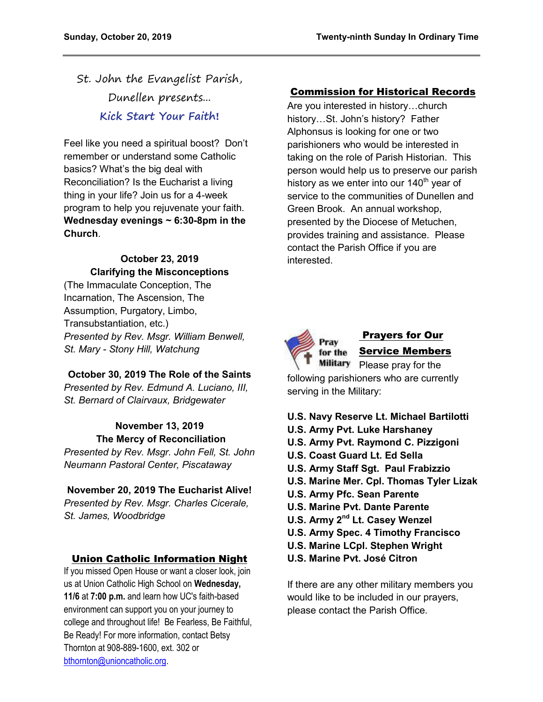St. John the Evangelist Parish, Dunellen presents... **Kick Start Your Faith!**

Feel like you need a spiritual boost? Don't remember or understand some Catholic basics? What's the big deal with Reconciliation? Is the Eucharist a living thing in your life? Join us for a 4-week program to help you rejuvenate your faith. **Wednesday evenings ~ 6:30-8pm in the Church**.

#### **October 23, 2019 Clarifying the Misconceptions**

(The Immaculate Conception, The Incarnation, The Ascension, The Assumption, Purgatory, Limbo, Transubstantiation, etc.) *Presented by Rev. Msgr. William Benwell, St. Mary - Stony Hill, Watchung* 

## **October 30, 2019 The Role of the Saints**

*Presented by Rev. Edmund A. Luciano, III, St. Bernard of Clairvaux, Bridgewater* 

## **November 13, 2019 The Mercy of Reconciliation**

*Presented by Rev. Msgr. John Fell, St. John Neumann Pastoral Center, Piscataway* 

**November 20, 2019 The Eucharist Alive!**

*Presented by Rev. Msgr. Charles Cicerale, St. James, Woodbridge*

## Union Catholic Information Night

If you missed Open House or want a closer look, join us at Union Catholic High School on **Wednesday, 11/6** at **7:00 p.m.** and learn how UC's faith-based environment can support you on your journey to college and throughout life! Be Fearless, Be Faithful, Be Ready! For more information, contact Betsy Thornton at 908-889-1600, ext. 302 or [bthornton@unioncatholic.org.](mailto:bthornton@unioncatholic.org)

### Commission for Historical Records

Are you interested in history…church history…St. John's history? Father Alphonsus is looking for one or two parishioners who would be interested in taking on the role of Parish Historian. This person would help us to preserve our parish history as we enter into our  $140<sup>th</sup>$  year of service to the communities of Dunellen and Green Brook. An annual workshop, presented by the Diocese of Metuchen, provides training and assistance. Please contact the Parish Office if you are interested.



## Prayers for Our Service Members

Military Please pray for the following parishioners who are currently serving in the Military:

- **U.S. Navy Reserve Lt. Michael Bartilotti**
- **U.S. Army Pvt. Luke Harshaney**
- **U.S. Army Pvt. Raymond C. Pizzigoni**
- **U.S. Coast Guard Lt. Ed Sella**
- **U.S. Army Staff Sgt. Paul Frabizzio**
- **U.S. Marine Mer. Cpl. Thomas Tyler Lizak**
- **U.S. Army Pfc. Sean Parente**
- **U.S. Marine Pvt. Dante Parente**
- **U.S. Army 2nd Lt. Casey Wenzel**
- **U.S. Army Spec. 4 Timothy Francisco**
- **U.S. Marine LCpl. Stephen Wright**
- **U.S. Marine Pvt. José Citron**

If there are any other military members you would like to be included in our prayers, please contact the Parish Office.